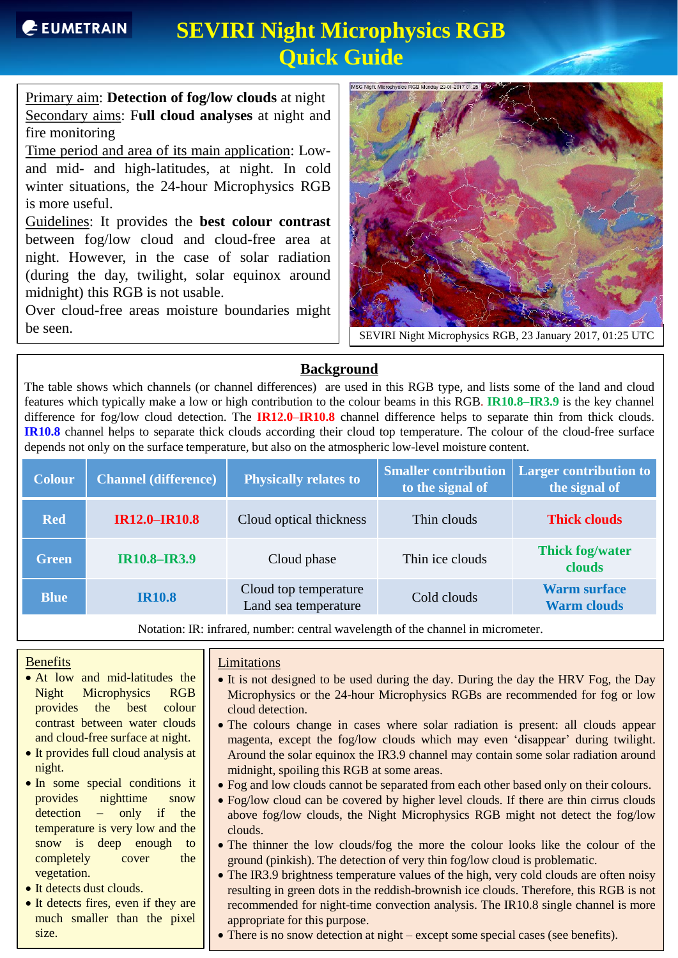Primary aim: **Detection of fog/low clouds** at night Secondary aims: F**ull cloud analyses** at night and fire monitoring

Time period and area of its main application: Lowand mid- and high-latitudes, at night. In cold winter situations, the 24-hour Microphysics RGB is more useful.

Guidelines: It provides the **best colour contrast** between fog/low cloud and cloud-free area at night. However, in the case of solar radiation (during the day, twilight, solar equinox around midnight) this RGB is not usable.

Over cloud-free areas moisture boundaries might be seen.



SEVIRI Night Microphysics RGB, 23 January 2017, 01:25 UTC

### **Background**

The table shows which channels (or channel differences) are used in this RGB type, and lists some of the land and cloud features which typically make a low or high contribution to the colour beams in this RGB. **IR10.8–IR3.9** is the key channel difference for fog/low cloud detection. The **IR12.0–IR10.8** channel difference helps to separate thin from thick clouds. **IR10.8** channel helps to separate thick clouds according their cloud top temperature. The colour of the cloud-free surface depends not only on the surface temperature, but also on the atmospheric low-level moisture content.

| <b>Colour</b> | <b>Channel (difference)</b> | <b>Physically relates to</b>                  | <b>Smaller contribution</b><br>to the signal of | <b>Larger contribution to</b><br>the signal of |
|---------------|-----------------------------|-----------------------------------------------|-------------------------------------------------|------------------------------------------------|
| <b>Red</b>    | <b>IR12.0-IR10.8</b>        | Cloud optical thickness                       | Thin clouds                                     | <b>Thick clouds</b>                            |
| <b>Green</b>  | <b>IR10.8-IR3.9</b>         | Cloud phase                                   | Thin ice clouds                                 | <b>Thick fog/water</b><br>clouds               |
| <b>Blue</b>   | <b>IR10.8</b>               | Cloud top temperature<br>Land sea temperature | Cold clouds                                     | <b>Warm surface</b><br><b>Warm clouds</b>      |

Notation: IR: infrared, number: central wavelength of the channel in micrometer.

### **Benefits**

- At low and mid-latitudes the Night Microphysics RGB provides the best colour contrast between water clouds and cloud-free surface at night.
- It provides full cloud analysis at night.
- In some special conditions it provides nighttime snow  $detection$  - only if the temperature is very low and the snow is deep enough to completely cover the vegetation.
- It detects dust clouds.
- It detects fires, even if they are much smaller than the pixel size.

#### **Limitations**

- It is not designed to be used during the day. During the day the HRV Fog, the Day Microphysics or the 24-hour Microphysics RGBs are recommended for fog or low cloud detection.
- The colours change in cases where solar radiation is present: all clouds appear magenta, except the fog/low clouds which may even 'disappear' during twilight. Around the solar equinox the IR3.9 channel may contain some solar radiation around midnight, spoiling this RGB at some areas.
- Fog and low clouds cannot be separated from each other based only on their colours.
- Fog/low cloud can be covered by higher level clouds. If there are thin cirrus clouds above fog/low clouds, the Night Microphysics RGB might not detect the fog/low clouds.
- The thinner the low clouds/fog the more the colour looks like the colour of the ground (pinkish). The detection of very thin fog/low cloud is problematic.
- The IR3.9 brightness temperature values of the high, very cold clouds are often noisy resulting in green dots in the reddish-brownish ice clouds. Therefore, this RGB is not recommended for night-time convection analysis. The IR10.8 single channel is more appropriate for this purpose.
- There is no snow detection at night except some special cases (see benefits).